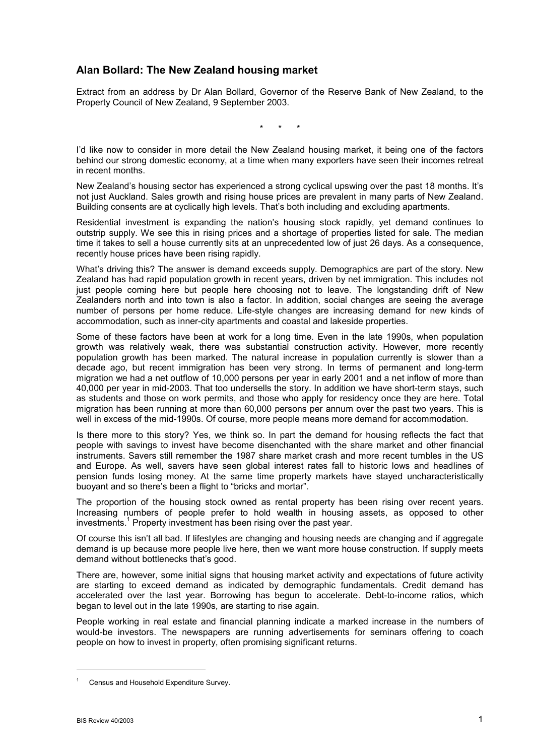## **Alan Bollard: The New Zealand housing market**

Extract from an address by Dr Alan Bollard, Governor of the Reserve Bank of New Zealand, to the Property Council of New Zealand, 9 September 2003.

\* \* \*

Iíd like now to consider in more detail the New Zealand housing market, it being one of the factors behind our strong domestic economy, at a time when many exporters have seen their incomes retreat in recent months.

New Zealand's housing sector has experienced a strong cyclical upswing over the past 18 months. It's not just Auckland. Sales growth and rising house prices are prevalent in many parts of New Zealand. Building consents are at cyclically high levels. That's both including and excluding apartments.

Residential investment is expanding the nation's housing stock rapidly, yet demand continues to outstrip supply. We see this in rising prices and a shortage of properties listed for sale. The median time it takes to sell a house currently sits at an unprecedented low of just 26 days. As a consequence, recently house prices have been rising rapidly.

What's driving this? The answer is demand exceeds supply. Demographics are part of the story. New Zealand has had rapid population growth in recent years, driven by net immigration. This includes not just people coming here but people here choosing not to leave. The longstanding drift of New Zealanders north and into town is also a factor. In addition, social changes are seeing the average number of persons per home reduce. Life-style changes are increasing demand for new kinds of accommodation, such as inner-city apartments and coastal and lakeside properties.

Some of these factors have been at work for a long time. Even in the late 1990s, when population growth was relatively weak, there was substantial construction activity. However, more recently population growth has been marked. The natural increase in population currently is slower than a decade ago, but recent immigration has been very strong. In terms of permanent and long-term migration we had a net outflow of 10,000 persons per year in early 2001 and a net inflow of more than 40,000 per year in mid-2003. That too undersells the story. In addition we have short-term stays, such as students and those on work permits, and those who apply for residency once they are here. Total migration has been running at more than 60,000 persons per annum over the past two years. This is well in excess of the mid-1990s. Of course, more people means more demand for accommodation.

Is there more to this story? Yes, we think so. In part the demand for housing reflects the fact that people with savings to invest have become disenchanted with the share market and other financial instruments. Savers still remember the 1987 share market crash and more recent tumbles in the US and Europe. As well, savers have seen global interest rates fall to historic lows and headlines of pension funds losing money. At the same time property markets have stayed uncharacteristically buoyant and so there's been a flight to "bricks and mortar".

The proportion of the housing stock owned as rental property has been rising over recent years. Increasing numbers of people prefer to hold wealth in housing assets, as opposed to other investments.<sup>1</sup> Property investment has been rising over the past year.

Of course this isnít all bad. If lifestyles are changing and housing needs are changing and if aggregate demand is up because more people live here, then we want more house construction. If supply meets demand without bottlenecks that's good.

There are, however, some initial signs that housing market activity and expectations of future activity are starting to exceed demand as indicated by demographic fundamentals. Credit demand has accelerated over the last year. Borrowing has begun to accelerate. Debt-to-income ratios, which began to level out in the late 1990s, are starting to rise again.

People working in real estate and financial planning indicate a marked increase in the numbers of would-be investors. The newspapers are running advertisements for seminars offering to coach people on how to invest in property, often promising significant returns.

l

<sup>1</sup> Census and Household Expenditure Survey.